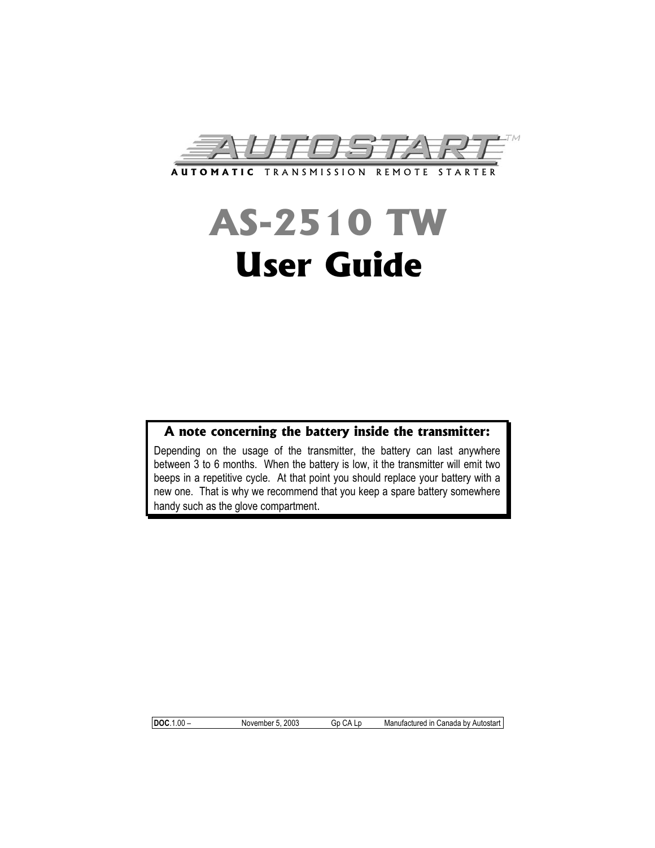

# **AS-2510 TW User Guide**

## **A note concerning the battery inside the transmitter:**

Depending on the usage of the transmitter, the battery can last anywhere between 3 to 6 months. When the battery is low, it the transmitter will emit two beeps in a repetitive cycle. At that point you should replace your battery with a new one. That is why we recommend that you keep a spare battery somewhere handy such as the glove compartment.

**DOC**.1.00 – November 5, 2003 Gp CA Lp Manufactured in Canada by Autostart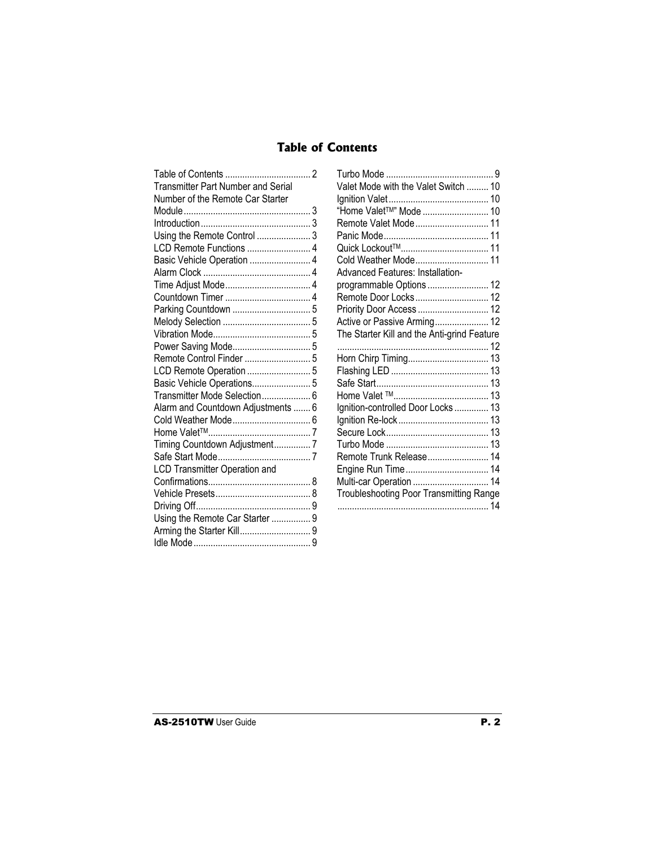## **Table of Contents**

| <b>Transmitter Part Number and Serial</b><br>Number of the Remote Car Starter<br>Using the Remote Control  3<br>Basic Vehicle Operation  4<br>Basic Vehicle Operations 5<br>Transmitter Mode Selection 6<br>Alarm and Countdown Adjustments  6<br>Timing Countdown Adjustment7<br><b>LCD Transmitter Operation and</b> | Turbo Moc<br>Valet Mod<br>Ignition Va<br>"Home Val<br>Remote Va<br>Panic Mod<br>Quick Locl<br>Cold Weat<br>Advanced<br>programm<br>Remote D<br>Priority Do<br>Active or F<br><b>The Starte</b><br>.<br>Horn Chirp<br>Flashing L<br>Safe Start.<br>Home Vale<br>Ignition-co<br>Ignition Re<br>Secure Lo<br>Turbo Moc<br>Remote Tr<br>Engine Ru<br>Multi-car C<br>Troublesho |
|------------------------------------------------------------------------------------------------------------------------------------------------------------------------------------------------------------------------------------------------------------------------------------------------------------------------|----------------------------------------------------------------------------------------------------------------------------------------------------------------------------------------------------------------------------------------------------------------------------------------------------------------------------------------------------------------------------|
|                                                                                                                                                                                                                                                                                                                        |                                                                                                                                                                                                                                                                                                                                                                            |
|                                                                                                                                                                                                                                                                                                                        |                                                                                                                                                                                                                                                                                                                                                                            |
|                                                                                                                                                                                                                                                                                                                        |                                                                                                                                                                                                                                                                                                                                                                            |
|                                                                                                                                                                                                                                                                                                                        | .                                                                                                                                                                                                                                                                                                                                                                          |
| Using the Remote Car Starter  9                                                                                                                                                                                                                                                                                        |                                                                                                                                                                                                                                                                                                                                                                            |
|                                                                                                                                                                                                                                                                                                                        |                                                                                                                                                                                                                                                                                                                                                                            |
|                                                                                                                                                                                                                                                                                                                        |                                                                                                                                                                                                                                                                                                                                                                            |
|                                                                                                                                                                                                                                                                                                                        |                                                                                                                                                                                                                                                                                                                                                                            |

| . 2 |                                             |
|-----|---------------------------------------------|
|     | Valet Mode with the Valet Switch  10        |
|     |                                             |
| 3   | "Home Valet <sup>™"</sup> Mode  10          |
| 3   | Remote Valet Mode 11                        |
| . 3 |                                             |
| . 4 |                                             |
| . 4 | Cold Weather Mode 11                        |
| . 4 | Advanced Features: Installation-            |
| . 4 | programmable Options  12                    |
| . 4 | Remote Door Locks 12                        |
| . 5 | Priority Door Access  12                    |
| . 5 | Active or Passive Arming 12                 |
| . 5 | The Starter Kill and the Anti-grind Feature |
| . 5 |                                             |
| . 5 | Horn Chirp Timing 13                        |
| . 5 |                                             |
| . 5 |                                             |
| . 6 |                                             |
| . 6 | Ignition-controlled Door Locks  13          |
| . 6 |                                             |
| . 7 |                                             |
| . 7 |                                             |
| . 7 | Remote Trunk Release 14                     |
|     |                                             |
| . 8 | Multi-car Operation  14                     |
| . 8 | Troubleshooting Poor Transmitting Range     |
| . 9 |                                             |
|     |                                             |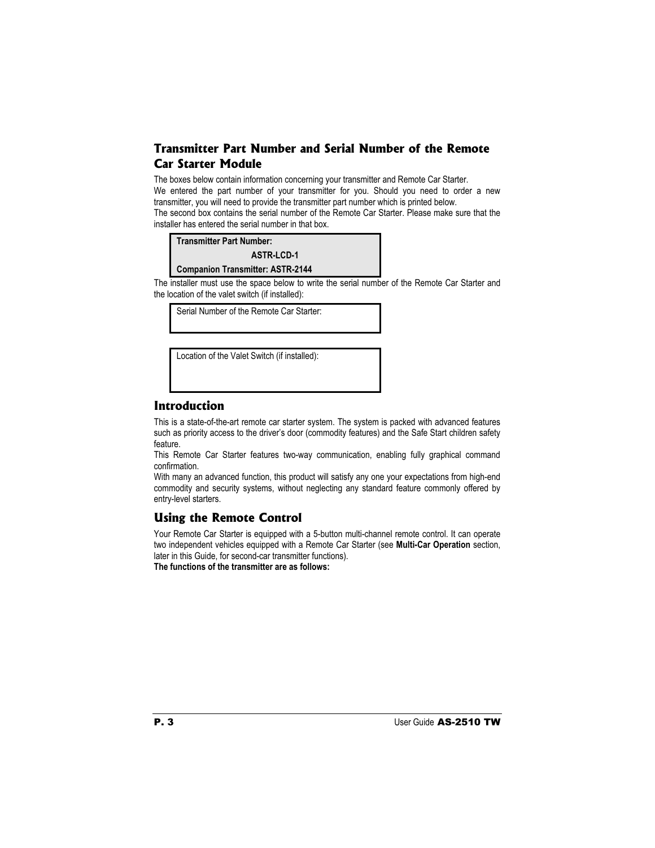## **Transmitter Part Number and Serial Number of the Remote Car Starter Module**

The boxes below contain information concerning your transmitter and Remote Car Starter. We entered the part number of your transmitter for you. Should you need to order a new transmitter, you will need to provide the transmitter part number which is printed below. The second box contains the serial number of the Remote Car Starter. Please make sure that the installer has entered the serial number in that box.

| <b>Transmitter Part Number:</b>                               |  |
|---------------------------------------------------------------|--|
| <b>ASTR-LCD-1</b>                                             |  |
| <b>Companion Transmitter: ASTR-2144</b>                       |  |
| inetaller must use the space below to write the serial number |  |

The installer must use the space below to write the serial number of the Remote Car Starter and the location of the valet switch (if installed):

Serial Number of the Remote Car Starter:

Location of the Valet Switch (if installed):

## **Introduction**

This is a state-of-the-art remote car starter system. The system is packed with advanced features such as priority access to the driver's door (commodity features) and the Safe Start children safety feature.

This Remote Car Starter features two-way communication, enabling fully graphical command confirmation.

With many an advanced function, this product will satisfy any one your expectations from high-end commodity and security systems, without neglecting any standard feature commonly offered by entry-level starters.

## **Using the Remote Control**

Your Remote Car Starter is equipped with a 5-button multi-channel remote control. It can operate two independent vehicles equipped with a Remote Car Starter (see **Multi-Car Operation** section, later in this Guide, for second-car transmitter functions).

**The functions of the transmitter are as follows:**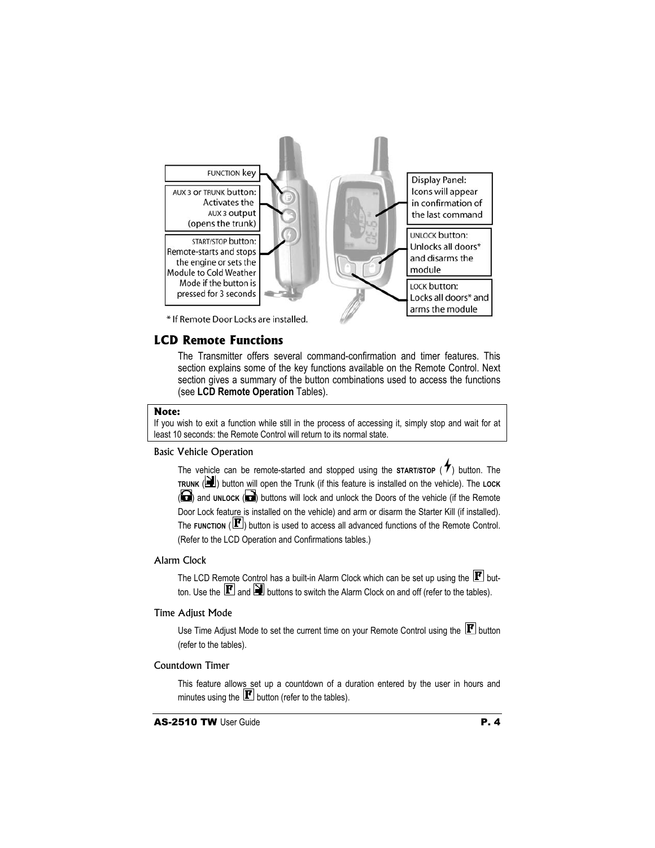

#### **LCD Remote Functions**

The Transmitter offers several command-confirmation and timer features. This section explains some of the key functions available on the Remote Control. Next section gives a summary of the button combinations used to access the functions (see **LCD Remote Operation** Tables).

#### **Note:**

If you wish to exit a function while still in the process of accessing it, simply stop and wait for at least 10 seconds: the Remote Control will return to its normal state.

#### Basic Vehicle Operation

The vehicle can be remote-started and stopped using the **START/STOP** ( $\uparrow$ ) button. The **TRUNK** ( $\mathbf{H}$ ) button will open the Trunk (if this feature is installed on the vehicle). The LOCK (a) and **UNLOCK** (a) buttons will lock and unlock the Doors of the vehicle (if the Remote Door Lock feature is installed on the vehicle) and arm or disarm the Starter Kill (if installed). The **FUNCTION** ( $\mathbf{F}$ ) button is used to access all advanced functions of the Remote Control. (Refer to the LCD Operation and Confirmations tables.)

#### Alarm Clock

The LCD Remote Control has a built-in Alarm Clock which can be set up using the  $\mathbf{F}$  button. Use the  $\mathbf F$  and  $\mathbf \Xi$  buttons to switch the Alarm Clock on and off (refer to the tables).

#### Time Adjust Mode

Use Time Adjust Mode to set the current time on your Remote Control using the  $\mathbf{F}$  button (refer to the tables).

#### Countdown Timer

This feature allows set up a countdown of a duration entered by the user in hours and minutes using the  $\boxed{\mathbf{F}}$  button (refer to the tables).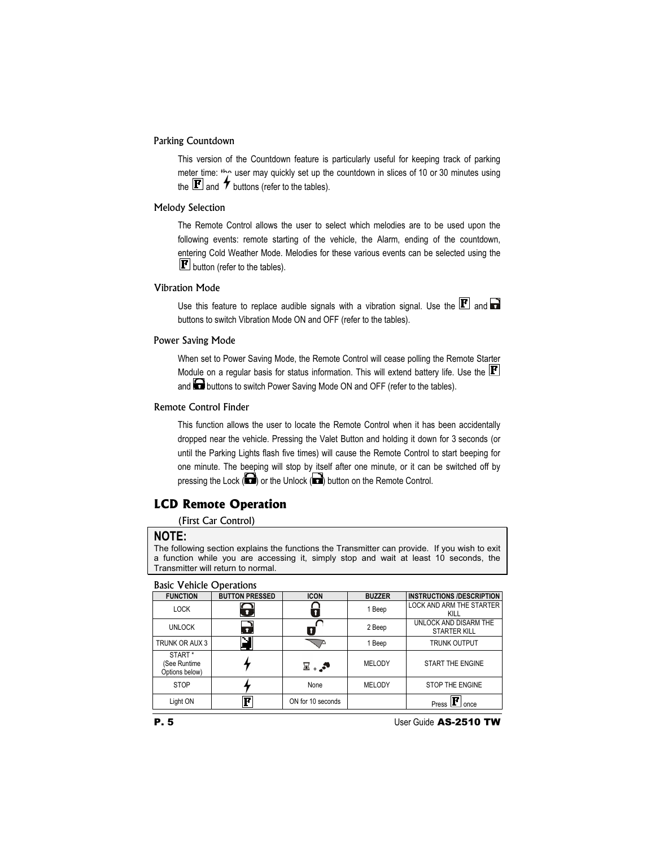#### Parking Countdown

This version of the Countdown feature is particularly useful for keeping track of parking meter time:  $t_{\text{C}}$  user may quickly set up the countdown in slices of 10 or 30 minutes using the  $\mathbf{F}$  and  $\boldsymbol{\tau}$  buttons (refer to the tables).

#### Melody Selection

The Remote Control allows the user to select which melodies are to be used upon the following events: remote starting of the vehicle, the Alarm, ending of the countdown, entering Cold Weather Mode. Melodies for these various events can be selected using the  $\mathbf{F}$  button (refer to the tables).

#### Vibration Mode

Use this feature to replace audible signals with a vibration signal. Use the  $\mathbf F$  and  $\mathbf F$ buttons to switch Vibration Mode ON and OFF (refer to the tables).

#### Power Saving Mode

When set to Power Saving Mode, the Remote Control will cease polling the Remote Starter Module on a regular basis for status information. This will extend battery life. Use the  $\mathbf{F}$ and buttons to switch Power Saving Mode ON and OFF (refer to the tables).

#### Remote Control Finder

This function allows the user to locate the Remote Control when it has been accidentally dropped near the vehicle. Pressing the Valet Button and holding it down for 3 seconds (or until the Parking Lights flash five times) will cause the Remote Control to start beeping for one minute. The beeping will stop by itself after one minute, or it can be switched off by pressing the Lock  $\left(\bullet\right)$  or the Unlock  $\left(\bullet\right)$  button on the Remote Control.

## **LCD Remote Operation**

(First Car Control)

#### **NOTE:**

The following section explains the functions the Transmitter can provide. If you wish to exit a function while you are accessing it, simply stop and wait at least 10 seconds, the Transmitter will return to normal.

#### Basic Vehicle Operations

| <b>FUNCTION</b>                                      | <b>BUTTON PRESSED</b> | <b>ICON</b>       | <b>BUZZER</b> | <b>INSTRUCTIONS /DESCRIPTION</b>             |
|------------------------------------------------------|-----------------------|-------------------|---------------|----------------------------------------------|
| <b>LOCK</b>                                          | ⌒<br>$\mathbf{u}$     |                   | 1 Beep        | <b>LOCK AND ARM THE STARTER</b><br>KILL      |
| <b>UNLOCK</b>                                        | C<br>O                |                   | 2 Beep        | UNLOCK AND DISARM THE<br><b>STARTER KILL</b> |
| TRUNK OR AUX 3                                       |                       |                   | 1 Beep        | <b>TRUNK OUTPUT</b>                          |
| START <sup>*</sup><br>(See Runtime<br>Options below) |                       | ≅.,≅              | <b>MELODY</b> | START THE ENGINE                             |
| <b>STOP</b>                                          |                       | None              | <b>MELODY</b> | STOP THE ENGINE                              |
| Light ON                                             | F                     | ON for 10 seconds |               | Press<br>once                                |

**P. 5** User Guide AS-2510 TW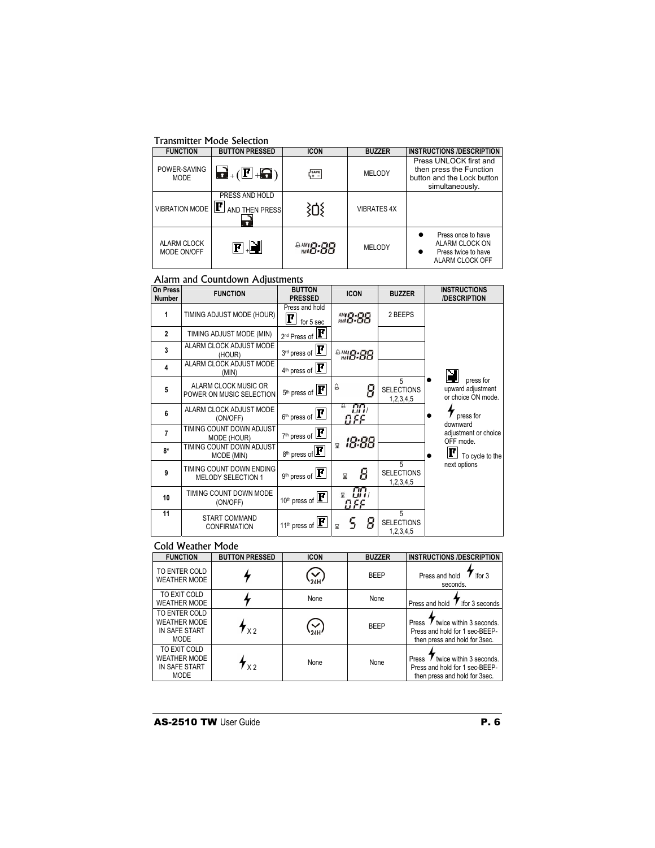#### Transmitter Mode Selection

| <b>FUNCTION</b>             | <b>BUTTON PRESSED</b>                                                                  | <b>ICON</b>                                                                | <b>BUZZER</b>      | <b>INSTRUCTIONS /DESCRIPTION</b>                                                                   |
|-----------------------------|----------------------------------------------------------------------------------------|----------------------------------------------------------------------------|--------------------|----------------------------------------------------------------------------------------------------|
| POWER-SAVING<br><b>MODE</b> | $\mathbf{G}$ +( $\mathbf{F}$ + $\mathbf{G}$ )                                          | $\left[\begin{smallmatrix} 4 & * & * \ * & * & * \end{smallmatrix}\right]$ | MELODY             | Press UNLOCK first and<br>then press the Function<br>button and the Lock button<br>simultaneously. |
| <b>VIBRATION MODE</b>       | PRESS AND HOLD<br>$\left[\mathbf{F}\right]$ and then pressi<br>$\overline{\mathbf{r}}$ |                                                                            | <b>VIBRATES 4X</b> |                                                                                                    |
| ALARM CLOCK<br>MODE ON/OFF  | $\blacksquare$ $\blacksquare$                                                          | $^{2.44}B.88$                                                              | MELODY             | Press once to have<br>ALARM CLOCK ON<br>Press twice to have<br>ALARM CLOCK OFF                     |

#### Alarm and Countdown Adjustments

| On Press<br><b>Number</b> | <b>FUNCTION</b>                                       | <b>BUTTON</b><br><b>PRESSED</b>                | <b>ICON</b>   | <b>BUZZER</b>                       | <b>INSTRUCTIONS</b><br>/DESCRIPTION                  |
|---------------------------|-------------------------------------------------------|------------------------------------------------|---------------|-------------------------------------|------------------------------------------------------|
| 1                         | TIMING ADJUST MODE (HOUR)                             | Press and hold<br>$\bf F$<br>for 5 sec         | <i>™8:88</i>  | 2 BEEPS                             |                                                      |
| $\overline{2}$            | TIMING ADJUST MODE (MIN)                              | $\frac{2^{nd}$ Press of $\boxed{F}$            |               |                                     |                                                      |
| $\overline{\mathbf{3}}$   | <b>ALARM CLOCK ADJUST MODE</b><br>(HOUR)              | $3^{rd}$ press of $\boxed{\mathbf{F}}$         | $^{4.44}B.88$ |                                     |                                                      |
| $\overline{\mathbf{4}}$   | ALARM CLOCK ADJUST MODE<br>(MIN)                      | $4^{\text{th}}$ press of $ \mathbf{F} $        |               |                                     |                                                      |
| 5                         | ALARM CLOCK MUSIC OR<br>POWER ON MUSIC SELECTION      | $5th$ press of $\boxed{\mathbf{F}}$            | ۵<br>8        | 5<br><b>SELECTIONS</b><br>1,2,3,4,5 | press for<br>upward adjustment<br>or choice ON mode. |
| 6                         | ALARM CLOCK ADJUST MODE<br>(ON/OFF)                   | $6th$ press of $\boxed{\mathbf{F}}$            | GA I<br>8 F.F |                                     | press for<br>downward                                |
| $\overline{7}$            | TIMING COUNT DOWN ADJUST<br>MODE (HOUR)               | $7th$ press of $\boxed{F}$                     | 18:88         |                                     | adjustment or choice<br>OFF mode.                    |
| $8*$                      | TIMING COUNT DOWN ADJUST<br>MODE (MIN)                | $8^{\text{th}}$ press of $\boxed{\mathbf{F}}$  | 닻             |                                     | F<br>To cycle to the                                 |
| 9                         | TIMING COUNT DOWN ENDING<br><b>MELODY SELECTION 1</b> | $9th$ press of $\boxed{\mathbf{F}}$            | Σ             | 5<br><b>SELECTIONS</b><br>1,2,3,4,5 | next options                                         |
| 10                        | TIMING COUNT DOWN MODE<br>(ON/OFF)                    | 10 <sup>th</sup> press of $\boxed{\mathbf{F}}$ | ON,<br>OFF    |                                     |                                                      |
| 11                        | <b>START COMMAND</b><br><b>CONFIRMATION</b>           | 11 <sup>th</sup> press of                      | 8             | 5<br><b>SELECTIONS</b><br>1,2,3,4,5 |                                                      |

#### Cold Weather Mode

| <b>FUNCTION</b>                                                      | <b>BUTTON PRESSED</b>   | <b>ICON</b> | <b>BUZZER</b> | <b>INSTRUCTIONS /DESCRIPTION</b>                                                                    |
|----------------------------------------------------------------------|-------------------------|-------------|---------------|-----------------------------------------------------------------------------------------------------|
| TO ENTER COLD<br><b>WEATHER MODE</b>                                 |                         |             | <b>BEEP</b>   | Press and hold<br>[for 3]<br>seconds.                                                               |
| TO EXIT COLD<br><b>WEATHER MODE</b>                                  |                         | None        | None          | Press and hold<br>lifor 3 seconds                                                                   |
| TO ENTER COLD<br><b>WEATHER MODE</b><br>IN SAFE START<br><b>MODE</b> | $\mathbf{y}_{\lambda2}$ |             | <b>BEEP</b>   | twice within 3 seconds.<br>Press<br>Press and hold for 1 sec-BEEP-<br>then press and hold for 3sec. |
| TO EXIT COLD<br><b>WEATHER MODE</b><br>IN SAFE START<br><b>MODE</b>  | ' x 2                   | None        | None          | twice within 3 seconds.<br>Press<br>Press and hold for 1 sec-BEEP-<br>then press and hold for 3sec. |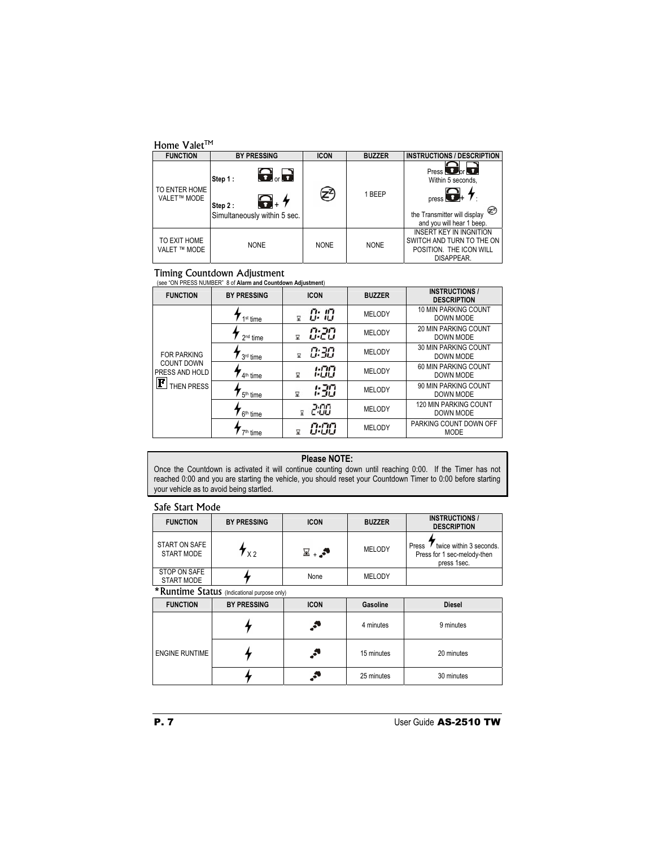| Home Valet™                  |                                                                                                     |             |               |                                                                                                                                                                     |  |  |
|------------------------------|-----------------------------------------------------------------------------------------------------|-------------|---------------|---------------------------------------------------------------------------------------------------------------------------------------------------------------------|--|--|
| <b>FUNCTION</b>              | <b>BY PRESSING</b>                                                                                  | <b>ICON</b> | <b>BUZZER</b> | <b>INSTRUCTIONS / DESCRIPTION</b>                                                                                                                                   |  |  |
| TO ENTER HOME<br>VALET™ MODE | $\mathbf{\Theta}_{\circ}$ .<br>Step 1:<br>$\mathbf{G}_*$<br>Step 2:<br>Simultaneously within 5 sec. |             | 1 BEEP        | Press <b>D</b> <sub>or</sub> <b>D</b><br>Within 5 seconds,<br>$_{\text{press}} \bigodot_+ \biguparrow$<br>the Transmitter will display<br>and you will hear 1 beep. |  |  |
| TO EXIT HOME<br>VALET ™ MODE | <b>NONE</b>                                                                                         | <b>NONE</b> | <b>NONE</b>   | <b>INSERT KEY IN INGNITION</b><br>SWITCH AND TURN TO THE ON<br>POSITION. THE ICON WILL<br>DISAPPEAR.                                                                |  |  |

## **Timing Countdown Adjustment**<br>(see "ON PRESS NUMBER" 8 of Alarm and Countdown Adjustment)

| <b>FUNCTION</b>                        | <b>BY PRESSING</b>   | <b>ICON</b>                              | <b>BUZZER</b> | <b>INSTRUCTIONS /</b><br><b>DESCRIPTION</b> |
|----------------------------------------|----------------------|------------------------------------------|---------------|---------------------------------------------|
|                                        | 1 <sup>st</sup> time | rı. 117<br>$^{\prime\prime}$<br>,,,<br>7 | <b>MELODY</b> | 10 MIN PARKING COUNT<br>DOWN MODE           |
|                                        | $2nd$ time           | 0:20<br>닻                                | <b>MELODY</b> | <b>20 MIN PARKING COUNT</b><br>DOWN MODE    |
| <b>FOR PARKING</b>                     | 3 <sup>rd</sup> time | 0:30<br>7                                | <b>MELODY</b> | 30 MIN PARKING COUNT<br>DOWN MODE           |
| <b>COUNT DOWN</b><br>PRESS AND HOLD    | 4 <sup>th</sup> time | 1:00<br>Ω                                | <b>MELODY</b> | 60 MIN PARKING COUNT<br>DOWN MODE           |
| $\left[\mathbf{F}\right]$ then press i | 5 <sup>th</sup> time | 1:30<br>冨                                | <b>MELODY</b> | 90 MIN PARKING COUNT<br>DOWN MODE           |
|                                        | 6 <sup>th</sup> time | 2:00                                     | <b>MELODY</b> | 120 MIN PARKING COUNT<br>DOWN MODE          |
|                                        | 7 <sup>th</sup> time | n nn<br>ப் ப்ப<br>⊠                      | <b>MELODY</b> | PARKING COUNT DOWN OFF<br><b>MODE</b>       |

## **Please NOTE:**

Once the Countdown is activated it will continue counting down until reaching 0:00. If the Timer has not reached 0:00 and you are starting the vehicle, you should reset your Countdown Timer to 0:00 before starting your vehicle as to avoid being startled.

#### Safe Start Mode

| <b>FUNCTION</b>             | <b>BY PRESSING</b> | <b>ICON</b> | <b>BUZZER</b> | <b>INSTRUCTIONS /</b><br><b>DESCRIPTION</b>                                    |  |  |
|-----------------------------|--------------------|-------------|---------------|--------------------------------------------------------------------------------|--|--|
| START ON SAFE<br>START MODE | $x^2$              | ≅.,⊠        | MELODY        | twice within 3 seconds.<br>Press<br>Press for 1 sec-melody-then<br>press 1sec. |  |  |
| STOP ON SAFE<br>START MODE  |                    | None        | MELODY        |                                                                                |  |  |
|                             |                    |             |               |                                                                                |  |  |

\*Runtime Status (Indicational purpose only) **FUNCTION BY PRESSING ICON Gasoline Diesel**  $\cdot^*$ 4 4 minutes 9 minutes ENGINE RUNTIME  $\leftarrow$  15 minutes 20 minutes  $\overline{\mathbf{r}}$  $\cdot^\bullet$ 25 minutes 30 minutes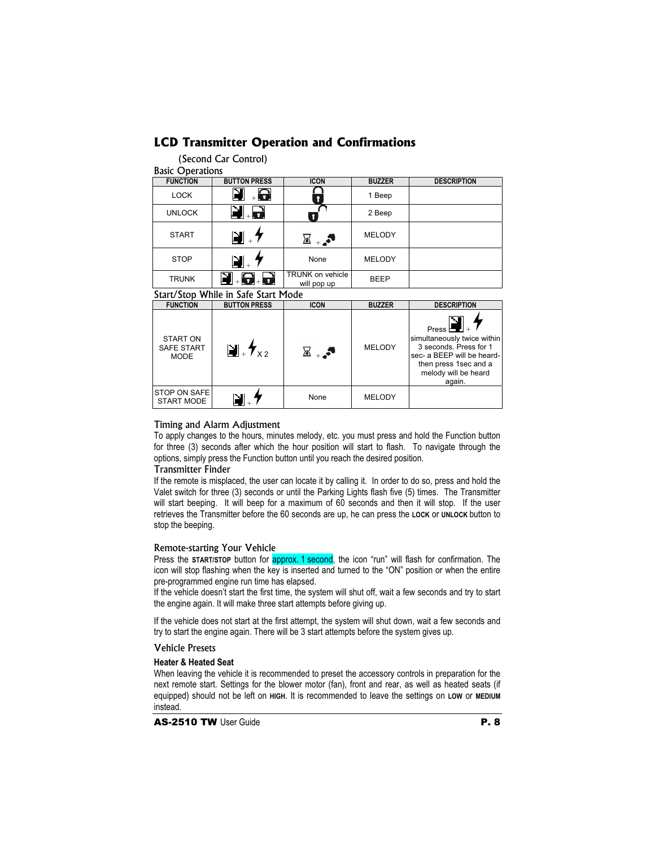## **LCD Transmitter Operation and Confirmations**

(Second Car Control)

|  | <b>Basic Operations</b> |  |
|--|-------------------------|--|
|--|-------------------------|--|

| <b>FUNCTION</b> | <b>BUTTON PRESS</b>     | <b>ICON</b>                            | <b>BUZZER</b> | <b>DESCRIPTION</b> |
|-----------------|-------------------------|----------------------------------------|---------------|--------------------|
| <b>LOCK</b>     | $\overline{\mathbf{G}}$ |                                        | 1 Beep        |                    |
| <b>UNLOCK</b>   | + 0                     |                                        | 2 Beep        |                    |
| <b>START</b>    | N                       |                                        | <b>MELODY</b> |                    |
| <b>STOP</b>     |                         | None                                   | <b>MELODY</b> |                    |
| <b>TRUNK</b>    | d - 8                   | <b>TRUNK on vehicle</b><br>will pop up | <b>BEEP</b>   |                    |

#### Start/Stop While in Safe Start Mode

| <b>FUNCTION</b>                                     | <b>BUTTON PRESS</b>                       | <b>ICON</b> | <b>BUZZER</b> | <b>DESCRIPTION</b>                                                                                                                                             |
|-----------------------------------------------------|-------------------------------------------|-------------|---------------|----------------------------------------------------------------------------------------------------------------------------------------------------------------|
| <b>START ON</b><br><b>SAFE START</b><br><b>MODE</b> | $\blacksquare$ + $\mathcal{H}_{\times 2}$ | ⊠⊥.≛        | <b>MELODY</b> | Press $\Box$<br>simultaneously twice within<br>3 seconds. Press for 1<br>sec- a BEEP will be heard-<br>then press 1sec and a<br>melody will be heard<br>again. |
| STOP ON SAFE<br>START MODE                          |                                           | None        | <b>MELODY</b> |                                                                                                                                                                |

### Timing and Alarm Adjustment

To apply changes to the hours, minutes melody, etc. you must press and hold the Function button for three (3) seconds after which the hour position will start to flash. To navigate through the options, simply press the Function button until you reach the desired position.

#### Transmitter Finder

If the remote is misplaced, the user can locate it by calling it. In order to do so, press and hold the Valet switch for three (3) seconds or until the Parking Lights flash five (5) times. The Transmitter will start beeping. It will beep for a maximum of 60 seconds and then it will stop. If the user retrieves the Transmitter before the 60 seconds are up, he can press the **LOCK** or **UNLOCK** button to stop the beeping.

#### Remote-starting Your Vehicle

Press the **START/STOP** button for **approx. 1 second**, the icon "run" will flash for confirmation. The icon will stop flashing when the key is inserted and turned to the "ON" position or when the entire pre-programmed engine run time has elapsed.

If the vehicle doesn't start the first time, the system will shut off, wait a few seconds and try to start the engine again. It will make three start attempts before giving up.

If the vehicle does not start at the first attempt, the system will shut down, wait a few seconds and try to start the engine again. There will be 3 start attempts before the system gives up.

#### Vehicle Presets

#### **Heater & Heated Seat**

When leaving the vehicle it is recommended to preset the accessory controls in preparation for the next remote start. Settings for the blower motor (fan), front and rear, as well as heated seats (if equipped) should not be left on **HIGH**. It is recommended to leave the settings on **LOW** or **MEDIUM** instead.

AS-2510 TW User Guide **P. 8**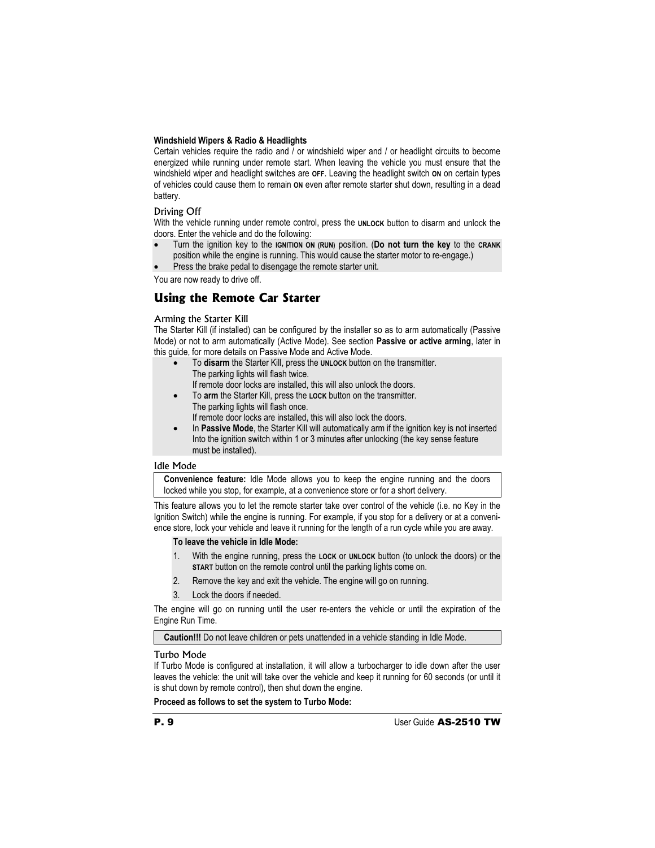#### **Windshield Wipers & Radio & Headlights**

Certain vehicles require the radio and / or windshield wiper and / or headlight circuits to become energized while running under remote start. When leaving the vehicle you must ensure that the windshield wiper and headlight switches are **OFF**. Leaving the headlight switch **ON** on certain types of vehicles could cause them to remain **ON** even after remote starter shut down, resulting in a dead battery.

#### Driving Off

With the vehicle running under remote control, press the **UNLOCK** button to disarm and unlock the doors. Enter the vehicle and do the following:

- x Turn the ignition key to the **IGNITION ON (RUN)** position. (**Do not turn the key** to the **CRANK** position while the engine is running. This would cause the starter motor to re-engage.)
- Press the brake pedal to disengage the remote starter unit.

You are now ready to drive off.

## **Using the Remote Car Starter**

#### Arming the Starter Kill

The Starter Kill (if installed) can be configured by the installer so as to arm automatically (Passive Mode) or not to arm automatically (Active Mode). See section **Passive or active arming**, later in this guide, for more details on Passive Mode and Active Mode.

- x To **disarm** the Starter Kill, press the **UNLOCK** button on the transmitter. The parking lights will flash twice. If remote door locks are installed, this will also unlock the doors.
- x To **arm** the Starter Kill, press the **LOCK** button on the transmitter. The parking lights will flash once. If remote door locks are installed, this will also lock the doors.
- In **Passive Mode**, the Starter Kill will automatically arm if the ignition key is not inserted Into the ignition switch within 1 or 3 minutes after unlocking (the key sense feature must be installed).

#### Idle Mode

**Convenience feature:** Idle Mode allows you to keep the engine running and the doors locked while you stop, for example, at a convenience store or for a short delivery.

This feature allows you to let the remote starter take over control of the vehicle (i.e. no Key in the Ignition Switch) while the engine is running. For example, if you stop for a delivery or at a convenience store, lock your vehicle and leave it running for the length of a run cycle while you are away.

#### **To leave the vehicle in Idle Mode:**

- 1. With the engine running, press the **LOCK** or **UNLOCK** button (to unlock the doors) or the **START** button on the remote control until the parking lights come on.
- 2. Remove the key and exit the vehicle. The engine will go on running.
- 3. Lock the doors if needed.

The engine will go on running until the user re-enters the vehicle or until the expiration of the Engine Run Time.

**Caution!!!** Do not leave children or pets unattended in a vehicle standing in Idle Mode.

#### Turbo Mode

If Turbo Mode is configured at installation, it will allow a turbocharger to idle down after the user leaves the vehicle: the unit will take over the vehicle and keep it running for 60 seconds (or until it is shut down by remote control), then shut down the engine.

**Proceed as follows to set the system to Turbo Mode:**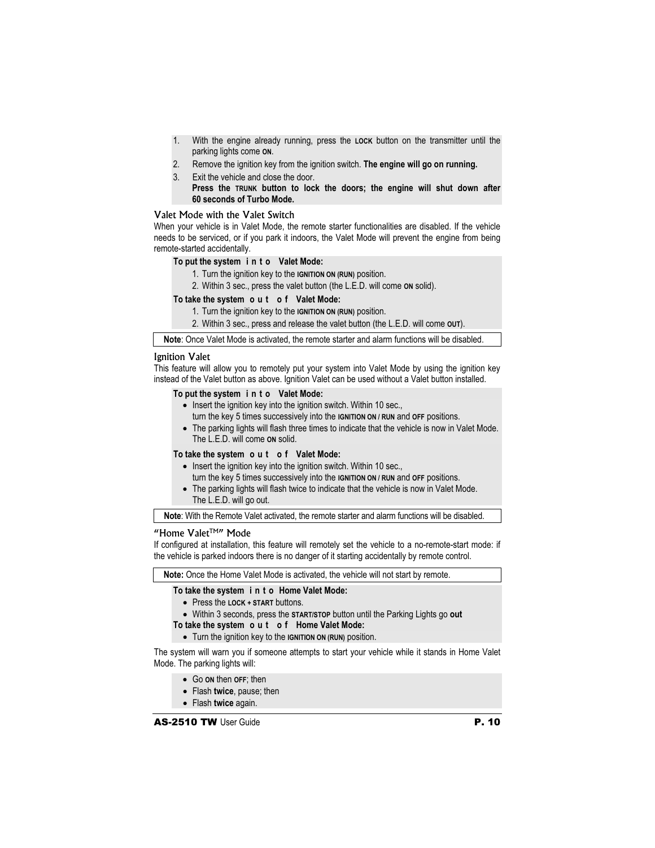- 1. With the engine already running, press the **LOCK** button on the transmitter until the parking lights come **ON**.
- 2. Remove the ignition key from the ignition switch. **The engine will go on running.**
- 3. Exit the vehicle and close the door.  **Press the TRUNK button to lock the doors; the engine will shut down after 60 seconds of Turbo Mode.**

#### Valet Mode with the Valet Switch

When your vehicle is in Valet Mode, the remote starter functionalities are disabled. If the vehicle needs to be serviced, or if you park it indoors, the Valet Mode will prevent the engine from being remote-started accidentally.

#### **To put the system i n t o Valet Mode:**

- 1. Turn the ignition key to the **IGNITION ON (RUN)** position.
- 2. Within 3 sec., press the valet button (the L.E.D. will come **ON** solid).

#### **To take the system o u t o f Valet Mode:**

- 1. Turn the ignition key to the **IGNITION ON (RUN)** position.
- 2. Within 3 sec., press and release the valet button (the L.E.D. will come **OUT**).

**Note**: Once Valet Mode is activated, the remote starter and alarm functions will be disabled.

#### Ignition Valet

This feature will allow you to remotely put your system into Valet Mode by using the ignition key instead of the Valet button as above. Ignition Valet can be used without a Valet button installed.

#### **To put the system i n t o Valet Mode:**

- Insert the ignition key into the ignition switch. Within 10 sec.,
- turn the key 5 times successively into the **IGNITION ON / RUN** and **OFF** positions.
- The parking lights will flash three times to indicate that the vehicle is now in Valet Mode. The L.E.D. will come **ON** solid.

#### **To take the system o u t o f Valet Mode:**

- $\bullet$  Insert the ignition key into the ignition switch. Within 10 sec.,
- turn the key 5 times successively into the **IGNITION ON / RUN** and **OFF** positions.
- The parking lights will flash twice to indicate that the vehicle is now in Valet Mode. The L.E.D. will go out.

**Note**: With the Remote Valet activated, the remote starter and alarm functions will be disabled.

#### "Home Valet<sup>™"</sup> Mode

If configured at installation, this feature will remotely set the vehicle to a no-remote-start mode: if the vehicle is parked indoors there is no danger of it starting accidentally by remote control.

**Note:** Once the Home Valet Mode is activated, the vehicle will not start by remote.

#### **To take the system i n t o Home Valet Mode:**

- **Press the LOCK + START buttons.**
- Within 3 seconds, press the **START/STOP** button until the Parking Lights go out

#### **To take the system o u t o f Home Valet Mode:**

**•** Turn the ignition key to the **IGNITION ON (RUN)** position.

The system will warn you if someone attempts to start your vehicle while it stands in Home Valet Mode. The parking lights will:

- x Go **ON** then **OFF**; then
- x Flash **twice**, pause; then
- x Flash **twice** again.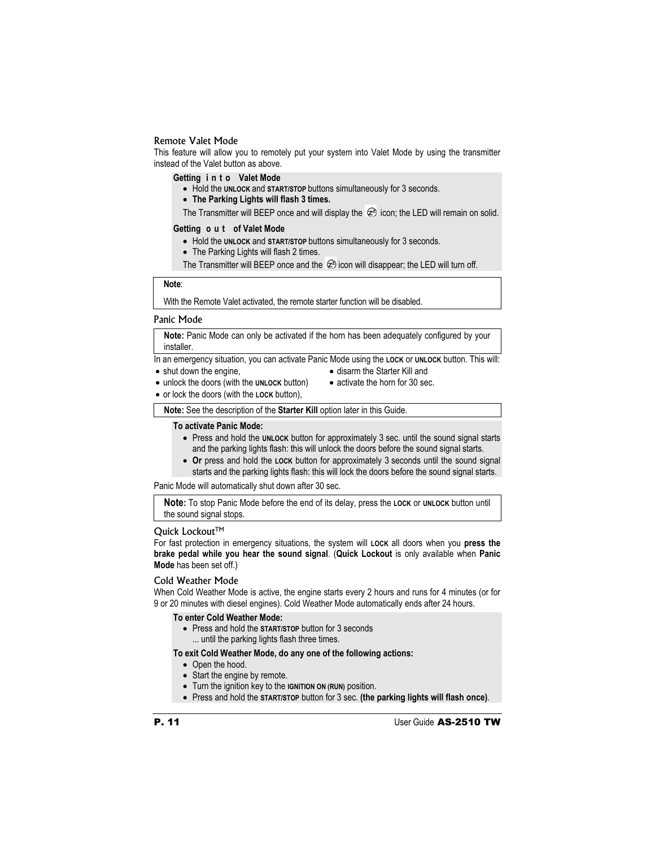#### Remote Valet Mode

This feature will allow you to remotely put your system into Valet Mode by using the transmitter instead of the Valet button as above.

**Getting i n t o Valet Mode**

- **Hold the UNLOCK and START/STOP** buttons simultaneously for 3 seconds.
- x **The Parking Lights will flash 3 times.**

The Transmitter will BEEP once and will display the  $\otimes$  icon; the LED will remain on solid.

#### **Getting o u t of Valet Mode**

- Hold the **UNLOCK** and **START/STOP** buttons simultaneously for 3 seconds.
- The Parking Lights will flash 2 times.

The Transmitter will BEEP once and the  $\otimes$  icon will disappear; the LED will turn off.

#### **Note**:

With the Remote Valet activated, the remote starter function will be disabled.

#### Panic Mode

**Note:** Panic Mode can only be activated if the horn has been adequately configured by your installer.

In an emergency situation, you can activate Panic Mode using the **LOCK** or **UNLOCK** button. This will:

- $\bullet$  shut down the engine,
- disarm the Starter Kill and
- x unlock the doors (with the **UNLOCK** button)
- activate the horn for 30 sec.
- x or lock the doors (with the **LOCK** button),

**Note:** See the description of the **Starter Kill** option later in this Guide.

#### **To activate Panic Mode:**

- Press and hold the **UNLOCK** button for approximately 3 sec. until the sound signal starts and the parking lights flash: this will unlock the doors before the sound signal starts.
- Or press and hold the **LOCK** button for approximately 3 seconds until the sound signal starts and the parking lights flash: this will lock the doors before the sound signal starts.

Panic Mode will automatically shut down after 30 sec.

**Note:** To stop Panic Mode before the end of its delay, press the **LOCK** or **UNLOCK** button until the sound signal stops.

#### Quick Lockout™

For fast protection in emergency situations, the system will **LOCK** all doors when you **press the brake pedal while you hear the sound signal**. (**Quick Lockout** is only available when **Panic Mode** has been set off.)

#### Cold Weather Mode

When Cold Weather Mode is active, the engine starts every 2 hours and runs for 4 minutes (or for 9 or 20 minutes with diesel engines). Cold Weather Mode automatically ends after 24 hours.

#### **To enter Cold Weather Mode:**

- **Press and hold the START/STOP** button for 3 seconds
	- ... until the parking lights flash three times.

#### **To exit Cold Weather Mode, do any one of the following actions:**

- Open the hood.
- $\bullet$  Start the engine by remote.
- **•** Turn the ignition key to the **IGNITION ON (RUN)** position.
- x Press and hold the **START/STOP** button for 3 sec. **(the parking lights will flash once)**.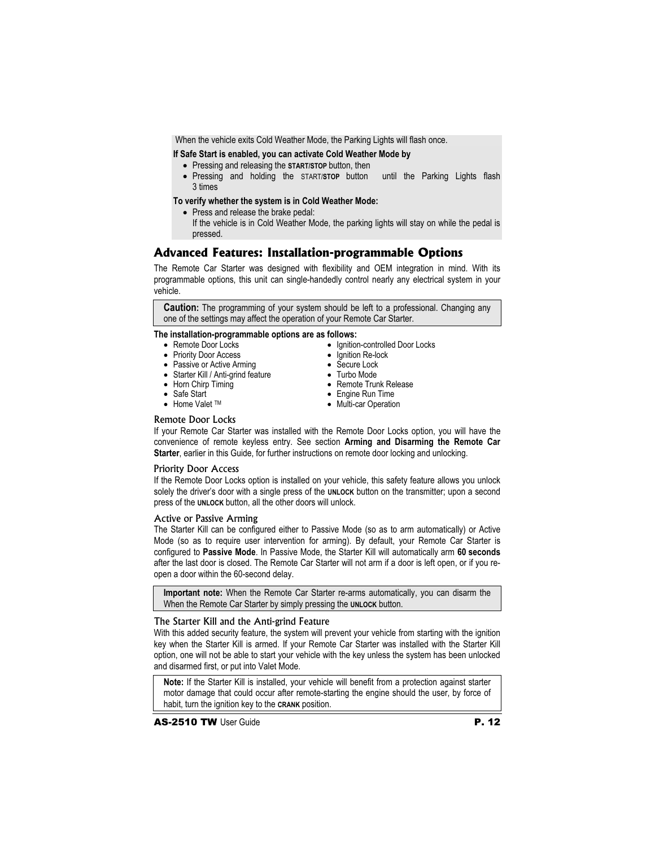When the vehicle exits Cold Weather Mode, the Parking Lights will flash once.

**If Safe Start is enabled, you can activate Cold Weather Mode by** 

- **•** Pressing and releasing the **START/STOP** button, then
- x Pressing and holding the START/**STOP** button until the Parking Lights flash 3 times

#### **To verify whether the system is in Cold Weather Mode:**

- Press and release the brake pedal:
- If the vehicle is in Cold Weather Mode, the parking lights will stay on while the pedal is pressed.

• Ignition-controlled Door Locks

• Ignition Re-lock • Secure Lock • Turbo Mode

• Remote Trunk Release • Engine Run Time • Multi-car Operation

## **Advanced Features: Installation-programmable Options**

The Remote Car Starter was designed with flexibility and OEM integration in mind. With its programmable options, this unit can single-handedly control nearly any electrical system in your vehicle.

**Caution:** The programming of your system should be left to a professional. Changing any one of the settings may affect the operation of your Remote Car Starter.

#### **The installation-programmable options are as follows:**

- Remote Door Locks
- Priority Door Access
- Passive or Active Arming
- Starter Kill / Anti-grind feature
- Horn Chirp Timing
- Safe Start
- Home Valet TM

#### Remote Door Locks

If your Remote Car Starter was installed with the Remote Door Locks option, you will have the convenience of remote keyless entry. See section **Arming and Disarming the Remote Car Starter**, earlier in this Guide, for further instructions on remote door locking and unlocking.

#### Priority Door Access

If the Remote Door Locks option is installed on your vehicle, this safety feature allows you unlock solely the driver's door with a single press of the **UNLOCK** button on the transmitter; upon a second press of the **UNLOCK** button, all the other doors will unlock.

#### Active or Passive Arming

The Starter Kill can be configured either to Passive Mode (so as to arm automatically) or Active Mode (so as to require user intervention for arming). By default, your Remote Car Starter is configured to **Passive Mode**. In Passive Mode, the Starter Kill will automatically arm **60 seconds**  after the last door is closed. The Remote Car Starter will not arm if a door is left open, or if you reopen a door within the 60-second delay.

**Important note:** When the Remote Car Starter re-arms automatically, you can disarm the When the Remote Car Starter by simply pressing the **UNLOCK** button.

#### The Starter Kill and the Anti-grind Feature

With this added security feature, the system will prevent your vehicle from starting with the ignition key when the Starter Kill is armed. If your Remote Car Starter was installed with the Starter Kill option, one will not be able to start your vehicle with the key unless the system has been unlocked and disarmed first, or put into Valet Mode.

**Note:** If the Starter Kill is installed, your vehicle will benefit from a protection against starter motor damage that could occur after remote-starting the engine should the user, by force of habit, turn the ignition key to the **CRANK** position.

**AS-2510 TW** User Guide **P. 12**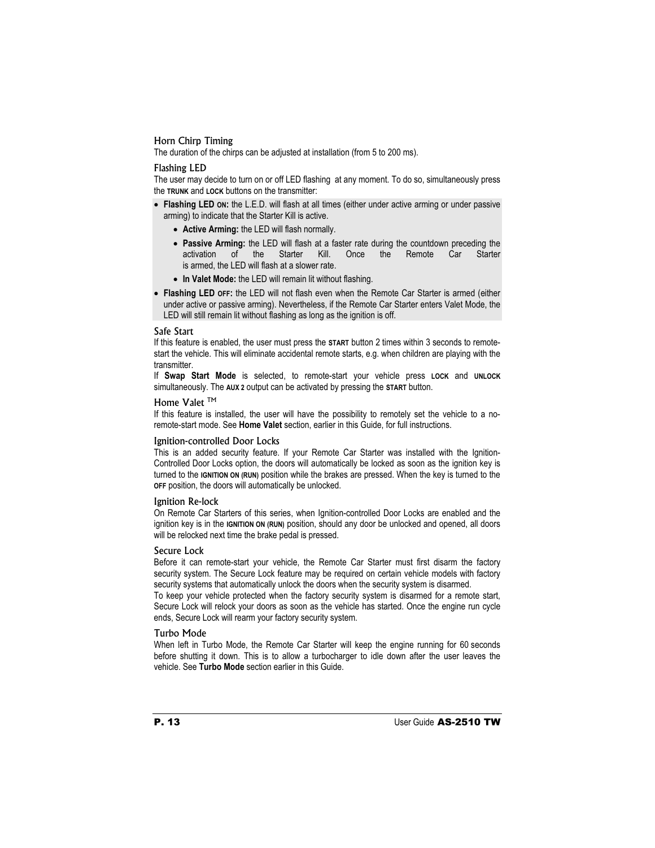#### Horn Chirp Timing

The duration of the chirps can be adjusted at installation (from 5 to 200 ms).

#### Flashing LED

The user may decide to turn on or off LED flashing at any moment. To do so, simultaneously press the **TRUNK** and **LOCK** buttons on the transmitter:

- Flashing LED on: the L.E.D. will flash at all times (either under active arming or under passive arming) to indicate that the Starter Kill is active.
	- Active Arming: the LED will flash normally.
	- **Passive Arming:** the LED will flash at a faster rate during the countdown preceding the activation of the Starter Kill. Once the Remote Car Starter activation of the is armed, the LED will flash at a slower rate.
	- In Valet Mode: the LED will remain lit without flashing.
- **Flashing LED OFF:** the LED will not flash even when the Remote Car Starter is armed (either under active or passive arming). Nevertheless, if the Remote Car Starter enters Valet Mode, the LED will still remain lit without flashing as long as the ignition is off.

#### Safe Start

If this feature is enabled, the user must press the **START** button 2 times within 3 seconds to remotestart the vehicle. This will eliminate accidental remote starts, e.g. when children are playing with the transmitter.

If **Swap Start Mode** is selected, to remote-start your vehicle press **LOCK** and **UNLOCK** simultaneously. The **AUX 2** output can be activated by pressing the **START** button.

#### Home Valet<sup>™</sup>

If this feature is installed, the user will have the possibility to remotely set the vehicle to a noremote-start mode. See **Home Valet** section, earlier in this Guide, for full instructions.

#### Ignition-controlled Door Locks

This is an added security feature. If your Remote Car Starter was installed with the Ignition-Controlled Door Locks option, the doors will automatically be locked as soon as the ignition key is turned to the **IGNITION ON (RUN)** position while the brakes are pressed. When the key is turned to the **OFF** position, the doors will automatically be unlocked.

#### Ignition Re-lock

On Remote Car Starters of this series, when Ignition-controlled Door Locks are enabled and the ignition key is in the **IGNITION ON (RUN)** position, should any door be unlocked and opened, all doors will be relocked next time the brake pedal is pressed.

#### Secure Lock

Before it can remote-start your vehicle, the Remote Car Starter must first disarm the factory security system. The Secure Lock feature may be required on certain vehicle models with factory security systems that automatically unlock the doors when the security system is disarmed.

To keep your vehicle protected when the factory security system is disarmed for a remote start, Secure Lock will relock your doors as soon as the vehicle has started. Once the engine run cycle ends, Secure Lock will rearm your factory security system.

#### Turbo Mode

When left in Turbo Mode, the Remote Car Starter will keep the engine running for 60 seconds before shutting it down. This is to allow a turbocharger to idle down after the user leaves the vehicle. See **Turbo Mode** section earlier in this Guide.